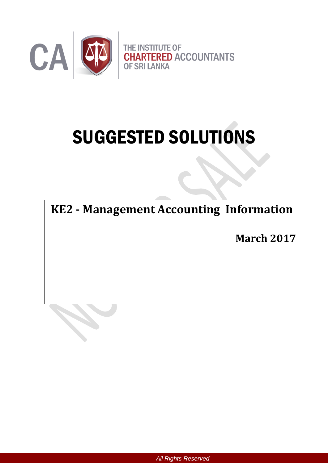

# SUGGESTED SOLUTIONS

**KE2 - Management Accounting Information**

**March 2017**

*All Rights Reserved*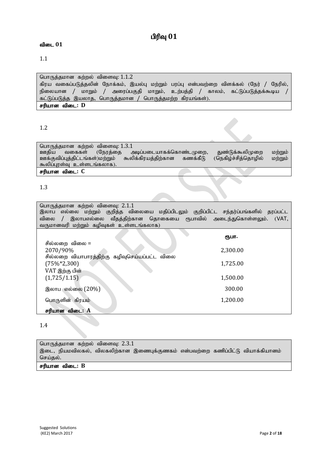# $n$ ரிவு  $01$

#### **விடை 01**

#### 1.1

பொருத்தமான கற்றல் விளைவு:  $1.1.2$ கிரய வகைப்படுத்தலின் நோக்கம், இயல்பு மற்றும் பரப்பு என்பவற்றை விளக்கல் (நேர் / நேரில், நிலையான / மாறும் / அரைப்பகுதி மாறும், உற்பத்தி / காலம், கட்டுப்படுத்தக்கூடிய / கட்டுப்படுத்த இயலாத, பொருத்தமான / பொருத்தமற்ற கிரயங்கள்). சரியான விடை: **D** 

1.2

| பொருத்தமான கற்றல் விளைவு: $1.3.1$ |                                     |          |                     |         |
|-----------------------------------|-------------------------------------|----------|---------------------|---------|
| ஊகிய<br>வகைகள்                    | அடிப்படையாகக்கொண்டமுறை,<br>(நேரத்தை |          | துண்டுக்கூலிமுறை    | மற்றும் |
| ஊக்குவிப்புத்திட்டங்கள்)மற்றும்   | கூலிக்கிரயத்திற்கான                 | கணக்கீடு | (நெகிழ்ச்சித்தொழில் | மற்றும் |
| கூலிப்புரள்வு உள்ளடங்கலாக).       |                                     |          |                     |         |
| சரியான விடை: C                    |                                     |          |                     |         |

#### 1.3

| பொருத்தமான கற்றல் விளைவு: 2.1.1<br>இலாப எல்லை மற்றும் குறித்த விலையை மதிப்பிடலும் குறிப்பிட்ட சந்தர்ப்பங்களில் தரப்பட்ட |          |
|-------------------------------------------------------------------------------------------------------------------------|----------|
| விலை / இலாபஎல்லை வீதத்திற்கான தொகையை ரூபாவில் அடைந்துகொள்ளலும். (VAT,                                                   |          |
| வருமானவரி மற்றும் கழிவுகள் உள்ளடங்கலாக)                                                                                 |          |
|                                                                                                                         | ரூபா.    |
| சில்லறை விலை =                                                                                                          |          |
| 2070/90%                                                                                                                | 2,300.00 |
| சில்லறை வியாபாரத்திற்கு கழிவுசெய்யப்பட்ட விலை                                                                           |          |
| $(75\% * 2,300)$                                                                                                        | 1,725.00 |
| VAT இற்கு பின்                                                                                                          |          |
| (1,725/1.15)                                                                                                            | 1,500.00 |
| இலாப எல்லை (20%)                                                                                                        | 300.00   |
|                                                                                                                         |          |
| பொருளின் கிரயம்                                                                                                         | 1,200.00 |
| சரியான விடை: A                                                                                                          |          |

#### 1.4

பொருத்தமான கற்றல் விளைவு:  $2.3.1$ இடை, நியமவிலகல், விலகலிற்கான இணைபுக்குணகம் என்பவற்றை கணிப்பிட்டு வியாக்கியானம் செய்தல்.

சரியான விடை: B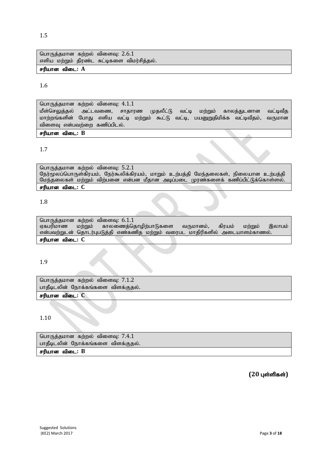பாதீடிடலின் நோக்கங்களை விளக்குதல். சரியான விடை: B

 $(20 \text{ L} \cdot \text{C})$ 

1.10

பாதீடிடலின் நோக்கங்களை விளக்குதல்.

சரியான விடை: C

1.9 சரியான விடை: **C** 

பொருத்தமான கற்றல் விளைவு:  $5.2.1$ 

பொருத்தமான கற்றல் விளைவு: 6.1.1<br>ஏகபரிமாண மற்றும் காலணைத்ெ

பொருத்தமான கற்றல் விளைவு:  $7.1.2$ 

பொருத்தமான கற்றல் விளைவு:  $7.4.1$ 

நேர்மூலப்பொருள்கிரயம், நேர்கூலிக்கிரயம், மாறும் உற்பத்தி மேந்தலைகள், நிலையான உற்பத்தி மேந்தலைகள் மற்றும் விற்பனை என்பன மீதான அடிப்படை முரண்களைக் கணிப்பிட்டுக்கொள்ளல். சரியான விடை: C

என்பவற்றுடன் தொடர்புபடுத்தி எண்கணித மற்றும் வரைபட மாதிரிகளில் அடையாளம்காணல்.

1.7

1.8

பொருத்தமான கற்றல் விளைவு:  $4.1.1$ மீள்செலுத்தல் அட்டவணை, சாதாரண முதலீட்டு வட்டி மற்றும் காலத்துடனான வட்டிவீத மாற்றங்களின் போது எளிய வட்டி மற்றும் கூட்டு வட்டி, பயனுறுதிமிக்க வட்டிவீதம், வருமான விளைவு என்பவற்றை கணிப்பிடல். rupahd tpil**: B**

காலணைத்தொழிற்பாடுகளை வருமானம், கிரயம் மற்றும் இலாபம்

பொருத்தமான கற்றல் விளைவு:  $2.6.1$ எளிய மற்றும் திரண்ட சுட்டிகளை விமர்சித்தல். சரியான விடை: A

1.6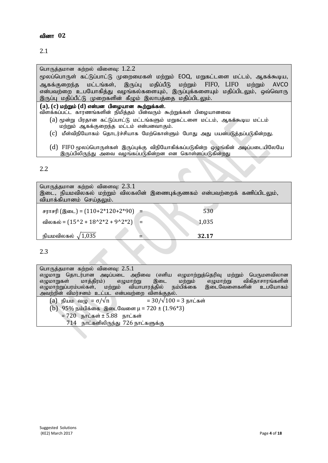#### வினா 02

| பொருத்தமான கற்றல் விளைவு: $1.2.2$ |  |  |
|-----------------------------------|--|--|
|                                   |  |  |

மூலப்பொருள் கட்டுப்பாட்டு முறைமைகள் மற்றும் EOQ, மறுகட்டளை மட்டம், ஆகக்கூடிய, ஆகக்குறைந்த மட்டங்கள், இருப்பு மதிப்பீடு மற்றும் FIFO, LIFO மற்றும் AVCO என்பவற்றை உபயோகித்து வழங்கல்களையும், இருப்புக்களையும் மதிப்பிடலும், ஒவ்வொரு இருப்பு மதிப்பீட்டு முறைகளின் கீழும் இலாபத்தை மதிப்பிடலும்.

 $(a)$ , (c) மற்றும் (d) என்பன பிழையான கூற்றுக்கள்.

- ்விளக்கப்பட்ட காரணங்களின் நிமித்தம் பின்வரும் கூற்றுக்கள் பிமையானவை
	- ${\rm (a)}$  மூன்று பிரதான கட்டுப்பாட்டு மட்டங்களும் மறுகட்டளை மட்டம், ஆகக்கூடிய மட்டம் மற்றும் ஆகக்குறைந்த மட்டம் என்பனவாகும்.
	- (C) மீள்விநியோகம் தொடர்ச்சியாக மேற்கொள்ளும் போது அது பயன்படுத்தப்படுகின்றது.
	- $(d)$  FIFO மூலப்பொருள்கள் இருப்புக்கு விநியோகிக்கப்படுகின்ற ஒழுங்கின் அடிப்படையிலேயே இருப்பிலிருந்து அவை வழங்கப்படுகின்றன என கொள்ளப்படுகின்றது

### 2.2

| பொருத்தமான கற்றல் விளைவு: $2.3.1$<br>வியாக்கியானம் செய்தலும். | இடை, நியமவிலகல் மற்றும் விலகலின் இணைபுக்குணகம் என்பவற்றைக் கணிப்பிடலும், |
|---------------------------------------------------------------|--------------------------------------------------------------------------|
| சராசரி (இடை) = $(110+2*120+2*90)$ =                           | 530                                                                      |
| விலகல் = $(15^2 + 18^2 + 2^2 + 9^2 + 2^2)$ =                  | 1,035                                                                    |
| நியமவிலகல் $\sqrt{1,035}$                                     | 32.17                                                                    |

2.3

பொருத்தமான கற்றல் விளைவு:  $2.5.1$ எழுமாறு தொடர்பான அடிப்படை அறிவை (எளிய எழுமாற்றுத்தெரிவு மற்றும் பெருமளவிலான<br>எழுமாறுகள் மாத்திரம்) எழுமாற்று இடை மற்றும் எழுமாற்று விகிதாசாரங்களின் எழுமாறுகள் மாத்திரம்) எழுமாற்று இடை மற்றும் எழுமாற்று விகிதாசாரங்களின்| எழுமாற்றுப்பரம்பல்கள், மற்றும் வியாபாரத்தில் நம்பிக்கை இடைவேளைகளின் உபயோகம் அவற்றின் விமர்சனம் உட்பட என்பவற்றை விளக்குதல்.

- (a) நியம வழு =  $\sigma/\sqrt{n}$  = 30/ $\sqrt{100}$  = 3 நாட்கள்
- (b)  $95\%$  நம்பிக்கை இடைவேளை  $\mu = 720 \pm (1.96*3)$ 
	- $= 720$  நாட்கள் $\pm 5.88$  நாட்கள்
		- $714$  நாட்களிலிருந்து  $726$  நாட்களுக்கு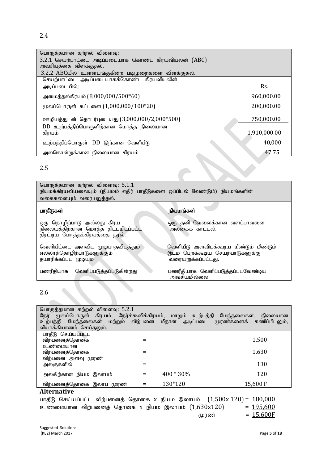| பொருத்தமான கற்றல் விளைவு:                             |              |  |
|-------------------------------------------------------|--------------|--|
| 3.2.1 செயற்பாட்டை அடிப்படையாக் கொண்ட கிரயவியலன் (ABC) |              |  |
| அவசியத்தை விளக்குதல்.                                 |              |  |
| 3.2.2 ABCயில் உள்ளடங்குகின்ற படிமுறைகளை விளக்குதல்.   |              |  |
| செயற்பாட்டை அடிப்படையாகக்கொண்ட கிரயவியலின்            |              |  |
| அடிப்படையில்;                                         | Rs.          |  |
| அமைத்தல்கிரயம் (8,000,000/500*60)<br>960,000.00       |              |  |
| மூலப்பொருள் கட்டளை $(1,000,000/100*20)$               | 200,000.00   |  |
| ஊழியத்துடன் தொடர்புடையது (3,000,000/2,000*500)        | 750,000.00   |  |
| $DD$ உற்பத்திப்பொருளிற்கான மொத்த நிலையான<br>கிரயம்    | 1,910,000.00 |  |
| உற்பத்திப்பொருள் DD இற்கான வெளீயீடு                   | 40,000       |  |
| அலகொன்றுக்கான நிலையான கிரயம்                          | 47.75        |  |

2.5

| பொருத்தமான கற்றல் விளைவு: 5.1.1<br>நியமக்கிரயவியலையும் (நியமம் எதிர் பாதீடுகளை ஒப்பிடல் வேண்டும்) நியமங்களின்<br>வகைகளையும் வரையறுத்தல். |                                                                                                   |
|------------------------------------------------------------------------------------------------------------------------------------------|---------------------------------------------------------------------------------------------------|
| பாதீடுகள்                                                                                                                                | நியமங்கள்                                                                                         |
| ஒரு தொழிற்பாடு அல்லது கிரய<br>நிலையத்திற்கான மொத்த திட்டமிடப்பட்ட<br>திரட்டிய மொத்தக்கிரயத்தை தரல்.                                      | ஒரு தனி வேலைக்கான வளப்பாவனை<br>அலகைக் காட்டல்.                                                    |
| வெளியீட்டை அளவிட முடியாதவிடத்தும்<br>எல்லாத்தொழிற்பாடுகளுக்கும்<br>தயாரிக்கப்பட முடியும                                                  | வெளியீடு அளவிடக்கூடிய மீண்டும் மீண்டும்<br>இடம் பெறக்கூடிய செயற்பாடுகளுக்கு<br>வரையறுக்கப்பட்டது. |
| வெளிப்படுத்தப்படுகின்றது<br>பணரீகியாக                                                                                                    | பணரீதியாக வெளிப்படுத்தப்படவேண்டிய<br>அவசியமில்லை                                                  |

## 2.6

| பொருத்தமான கற்றல் விளைவு: 5.2.1<br>நேர் மூலப்பொருள் கிரயம், நேர்க்கூலிக்கிரயம், மாறும் உற்பத்தி மேந்தலைகள், நிலையான<br>உற்பத்தி மேந்தலைகள் மற்றும் விற்பனை மீதான அடிப்படை முரண்களைக் கணிப்பிடலும்,<br>வியாக்கியானம் செய்தலும். |           |          |
|--------------------------------------------------------------------------------------------------------------------------------------------------------------------------------------------------------------------------------|-----------|----------|
| பாதீடு செய்யப்பட்ட                                                                                                                                                                                                             |           |          |
| விற்பனைத்தொகை                                                                                                                                                                                                                  |           | 1,500    |
| உண்மையான                                                                                                                                                                                                                       |           |          |
| விற்பனைத்தொகை                                                                                                                                                                                                                  |           | 1,630    |
| விற்பனை அளவு முரண்                                                                                                                                                                                                             |           |          |
| அலகுகளில்                                                                                                                                                                                                                      |           | 130      |
| அலகிற்கான நியம இலாபம்                                                                                                                                                                                                          | 400 * 30% | 120      |
| விற்பனைத்தொகை இலாப முரண்                                                                                                                                                                                                       | 130*120   | 15,600 F |

#### **Alternative**

பாதீடு செய்யப்பட்ட விற்பனைத் தொகை x நியம இலாபம்  $(1,500x 120) = 180,000$  உண்மையான விற்பனைத் தொகை x நியம இலாபம்  $(1,630x120) = 195.600$ உண்மையான விற்பனைத் தொகை x நியம<sup>்</sup> இலாபம்  $(1,630x120)$  $= 15,600F$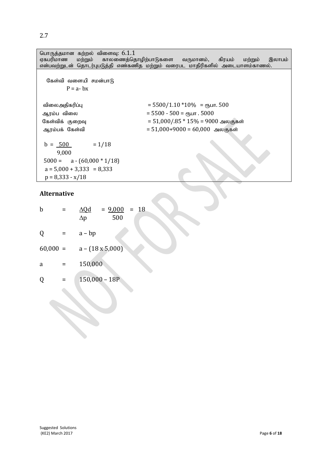| பொருத்தமான கற்றல் விளைவு: 6.1.1<br>ஏகபரிமாண | மற்றும் காலணைத்தொழிற்பாடுகளை வருமானம்,<br>கிரயம்<br>இலாபம்<br>மற்றும்<br>என்பவற்றுடன் தொடர்புபடுத்தி எண்கணித மற்றும் வரைபட மாதிரிகளில் அடையாளம்காணல். |
|---------------------------------------------|-------------------------------------------------------------------------------------------------------------------------------------------------------|
| கேள்வி வளையி சமன்பாடு<br>$P = a - bx$       |                                                                                                                                                       |
| விலைஅதிகரிப்பு                              | $=$ 5500/1.10 $*10\%$ = $\epsilon$ ҧபா. 500<br>$= 5500 - 500 =$ ( $m_{\text{H}}$ . 5000                                                               |
| ஆரம்ப விலை                                  | = 51,000/.85 $*$ 15% = 9000 அலகுகள்                                                                                                                   |
| கேள்விக் குறைவு                             |                                                                                                                                                       |
| ஆரம்பக் கேள்வி                              | = 51,000+9000 = 60,000 அலகுகள்                                                                                                                        |

S

 $b = 500 = 1/18$  9,000  $5000 = a - (60,000 * 1/18)$  $a = 5,000 + 3,333 = 8,333$  $p = 8,333 - x/18$ 

#### **Alternative**

| b          | $= 9,000 = 18$<br>$\Delta Q$ d<br>500<br>$\Delta p$ |
|------------|-----------------------------------------------------|
| Q          | $a - bp$                                            |
| $60,000 =$ | $a - (18 \times 5,000)$                             |
| a          | 150,000                                             |
| Q          | $150,000 - 18P$                                     |
|            |                                                     |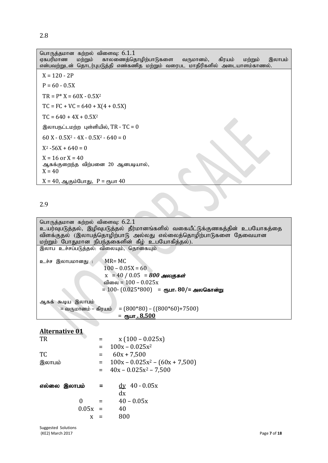| பொருத்தமான கற்றல் விளைவு: $6.1.1$<br>காலணைத்தொழிற்பாடுகளை வருமானம், கிரயம்<br>ஏகபரிமாண<br>மற்றும்<br>இலாபம்<br>மற்றும்<br>என்பவற்றுடன் தொடர்புபடுத்தி எண்கணித மற்றும் வரைபட மாதிரிகளில் அடையாளம்காணல். |
|--------------------------------------------------------------------------------------------------------------------------------------------------------------------------------------------------------|
| $X = 120 - 2P$                                                                                                                                                                                         |
| $P = 60 - 0.5X$                                                                                                                                                                                        |
| $TR = P^* X = 60X - 0.5X^2$                                                                                                                                                                            |
| $TC = FC + VC = 640 + X(4 + 0.5X)$                                                                                                                                                                     |
| $TC = 640 + 4X + 0.5X^2$                                                                                                                                                                               |
| இலாபநட்டமற்ற புள்ளியில், $TR - TC = 0$                                                                                                                                                                 |
| $60 X - 0.5X^2 - 4X - 0.5X^2 - 640 = 0$                                                                                                                                                                |
| $X^2 - 56X + 640 = 0$                                                                                                                                                                                  |
| $X = 16$ or $X = 40$<br>ஆகக்குறைந்த விற்பனை 20 ஆனபடியால்,<br>$X = 40$                                                                                                                                  |
| $X = 40$ , ஆகும்போது, $P =$ ரூபா $40$                                                                                                                                                                  |

#### 2.9

# **Alternative 01**

| <b>TR</b> |              |         | $x(100 - 0.025x)$                 |
|-----------|--------------|---------|-----------------------------------|
|           |              | $=$ $-$ | $100x - 0.025x^2$                 |
| TC        |              |         | $60x + 7,500$                     |
| இலாபம்    |              | $=$     | $100x - 0.025x^2 - (60x + 7,500)$ |
|           |              | $=$ $-$ | $40x - 0.025x^2 - 7,500$          |
|           | எல்லை இலாபம் |         | $\frac{dy}{dx}$ 40 - 0.05x        |
|           |              |         | dx                                |
|           |              |         | $40 - 0.05x$                      |
|           | 0.05x        |         | 40                                |
|           | X            |         | 800                               |
|           |              |         |                                   |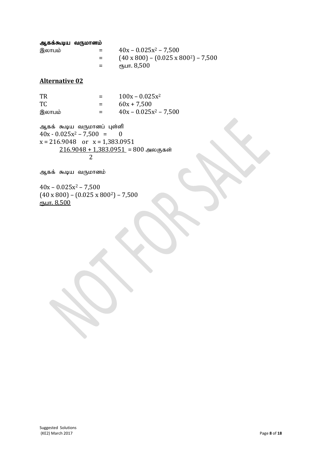#### ஆகக்கூடிய வருமானம்

| இலாபம் | =   | $40x - 0.025x^2 - 7,500$                         |
|--------|-----|--------------------------------------------------|
|        | $=$ | $(40 \times 800) - (0.025 \times 800^2) - 7,500$ |
|        | $=$ | ரூபா. 8,500                                      |

#### **Alternative 02**

| TR     | $=$ | $100x - 0.025x^2$        |
|--------|-----|--------------------------|
| TC.    | $=$ | $60x + 7,500$            |
| இலாபம் | $=$ | $40x - 0.025x^2 - 7,500$ |

ஆகக் கூடிய வருமானப் புள்ளி  $40x - 0.025x^2 - 7{,}500 = 0$  $x = 216.9048$  or  $x = 1,383.0951$  $\frac{216.9048 + 1,383.0951}{2} = 800$  அலகுகள் 2

ஆகக் கூடிய வருமானம்

 $40x - 0.025x^2 - 7,500$  $(40 \times 800) - (0.025 \times 800^2) - 7,500$ ரூபா.  $8,500$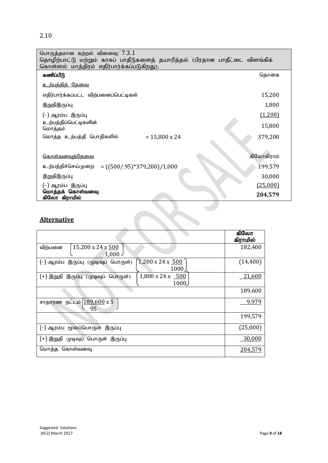2.10

| பொருத்தமான கற்றல் விளைவு: $7.3.1$                                             |            |
|-------------------------------------------------------------------------------|------------|
| தொழிற்பாட்டு மற்றும் காசுப் பாதீடுகளைத் தயாரித்தல் (பிரதான பாதீட்டை விளங்கிக் |            |
| கொள்ளல் மாத்திரம் எதிர்பார்க்கப்படுகிறது).                                    |            |
| கணிப்பீடு                                                                     | தொகை       |
| <u>உற்பத்தித் தேவை</u>                                                        |            |
| எதிர்பார்க்கப்பட்ட விற்பனைப்பெட்டிகள்                                         | 15,200     |
| இறுதிஇருப்பு                                                                  | 1,800      |
| (-) ஆரம்ப இருப்பு                                                             | (1,200)    |
| உற்பத்திப்பெட்டிகளின்<br>மொத்தம்                                              | 15,800     |
| மொத்த உற்பத்தி பொதிகளில்<br>$= 15,800 \times 24$                              | 379,200    |
|                                                                               |            |
| <u> கொள்வனவுக்தேவை</u>                                                        | கிலோகிராம் |
| உற்பத்திச்செய்முறை = ((500/.95)*379,200)/1,000                                | 199,579    |
| இறுதிஇருப்பு                                                                  | 30,000     |
| (-) ஆரம்ப இருப்பு                                                             | (25,000)   |
| மொத்தக் கொள்வனவு<br>கிலோ கிராமில்                                             | 204,579    |

 $\overline{\phantom{a}}$ 

# **Alternative**

|                                                                             | கிலோ<br>கிராமில் |
|-----------------------------------------------------------------------------|------------------|
| 15,200 x 24 x 500<br>விற்பனை<br>$1,000$ J                                   | 182,400          |
| $1,200 \times 24 \times 500$<br>(-) ஆரம்ப இருப்பு (முடிவுப் பொருள்)<br>1000 | (14, 400)        |
| $1,800 \times 24 \times 500$<br>(+) இறுதி இருப்பு (முடிவுப் பொருள்)<br>1000 | 21,600           |
|                                                                             | 189,600          |
| நட்டம் 189,600 x 5<br>சாதாரண<br>95                                          | <u>9,979</u>     |
|                                                                             | 199,579          |
| (-) ஆரம்ப மூலப்பொருள் இருப்பு                                               | (25,000)         |
| முடிவுப் பொருள் இருப்பு<br>(+) இறுதி                                        | 30,000           |
| கொள்வனவு<br>மொத்த                                                           | 204,579          |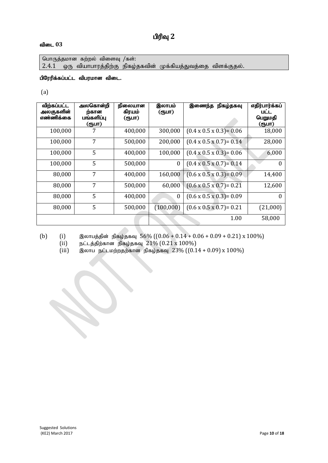# பிரிவு 2

#### $\mathbf{d}$ டை  $03$

பொருத்தமான கற்றல் விளைவு  $/$ கள்:  $2.4.1$  ஒரு வியாபாரத்திற்கு நிகழ்தகவின் முக்கியத்துவத்தை விளக்குதல்.

#### பிரேரிக்கப்பட்ட விபரமான விடை.

(a)

| விற்கப்பட்ட<br>அலகுகளின்<br>எண்ணிக்கை | அலகொன்றி<br>ற்கான<br>பங்களிப்பு | நிலையான<br>கிரயம்<br>(ரூபா) | இலாபம்<br>(ரூபா) | நிகழ்தகவு<br>இணைந்த                  | எதிர்பார்க்கப்<br>பட்ட<br>பெறுமதி |
|---------------------------------------|---------------------------------|-----------------------------|------------------|--------------------------------------|-----------------------------------|
|                                       | (ரூபா)                          |                             |                  |                                      | (ரூபா)                            |
| 100,000                               |                                 | 400,000                     | 300,000          | $(0.4 \times 0.5 \times 0.3) = 0.06$ | 18,000                            |
| 100,000                               | 7                               | 500,000                     | 200,000          | $(0.4 \times 0.5 \times 0.7) = 0.14$ | 28,000                            |
| 100,000                               | 5                               | 400,000                     | 100,000          | $(0.4 \times 0.5 \times 0.3) = 0.06$ | 6,000                             |
| 100,000                               | 5                               | 500,000                     | $\boldsymbol{0}$ | $(0.4 \times 0.5 \times 0.7) = 0.14$ | $\theta$                          |
| 80,000                                | 7                               | 400,000                     | 160,000          | $(0.6 \times 0.5 \times 0.3) = 0.09$ | 14,400                            |
| 80,000                                | 7                               | 500,000                     | 60,000           | $(0.6 \times 0.5 \times 0.7) = 0.21$ | 12,600                            |
| 80,000                                | 5                               | 400,000                     | $\boldsymbol{0}$ | $(0.6 \times 0.5 \times 0.3) = 0.09$ | O                                 |
| 80,000                                | 5                               | 500,000                     | (100,000)        | $(0.6 \times 0.5 \times 0.7) = 0.21$ | (21,000)                          |
|                                       |                                 |                             |                  | 1.00                                 | 58,000                            |

(b) (i) இலாபத்தின் நிகழ்தகவு  $56\%$  ( $(0.06 + 0.14 + 0.06 + 0.09 + 0.21)$  x  $100\%$ )

(ii) நட்டத்திற்கான நிகழ்தகவு  $21\%$  (0.21 x 100%)

(iii) இலாப நட்டமற்றதற்கான நிகழ்தகவு  $23\%$  ( $(0.14 + 0.09) \times 100\%)$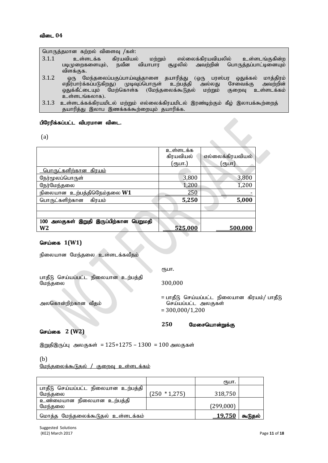பொருத்தமான கற்றல் விளைவு /கள்:

- $3.1.1$  உள்ளடக்க கிரயவியல் மற்றும் எல்லைக்கிரயவியலில் உள்ளடங்குகின்ற<br>படிமுறைகளையும், நவீன வியாபார சூழலில் அவற்றின் பொருத்தப்பாட்டினையும் பொருக்கப்பாட்டினையம் விளக்குக.
- 3.1.2 ஒரு மேந்தலைப்பகுப்பாய்வுத்தாளை தயாரித்து (ஒரு பரஸ்பர ஒதுக்கல் மாத்திரம்<br>எதிர்பார்க்கப்படுகிறது) முடிவுப்பொருள் உற்பத்தி அல்லது சேவைக்கு அவற்றின் எதிர்பார்க்கப்படுகிறது) முடிவுப்பொருள் உற்பத்தி அல்லது சேவைக்கு அவற்றின்<br>ஒதுக்கீட்டையும் மேற்கொள்க (மேந்தலைக்கூடுதல் மற்றும் குறைவு உள்ளடக்கம் மேற்கொள்க (மேந்தலைக்கூடுதல் உள்ளடங்கலாக).
- $3.1.3$  உள்ளடக்கக்கிரயமிடல் மற்றும் எல்லைக்கிரயமிடல் இரண்டிற்கும் கீழ் இலாபக்கூற்றைத் தயாரித்து இலாப இணக்கக்கூற்றையும் தயாரிக்க.

#### பிரேரிக்கப்பட்ட விபரமான விடை.

(a)

|                                           | உள்ளடக்க  |                  |
|-------------------------------------------|-----------|------------------|
|                                           | கிரயவியல் | எல்லைக்கிரயவியல் |
|                                           | (ரூபா.)   | (ரூபா)           |
| <u> பொருட்களிற்கான கிரயம்</u>             |           |                  |
| நேர்மூலப்பொருள்                           | 3,800     | 3,800            |
| நேர்மேந்தலை                               | 1,200     | 1,200            |
| நிலையான உற்பத்திநெெம்தலை W1               | 250       |                  |
| பொருட்களிற்கான<br>கிரயம்                  | 5,250     | 5,000            |
|                                           |           |                  |
|                                           |           |                  |
| அலகுகள் இறுதி இருப்பிற்கான பெறுமதி<br>100 |           |                  |
| W2                                        | 525,000   | 500,000          |
|                                           |           |                  |

#### **செய்கை 1(W1)**

நிலையான மேந்தலை உள்ளடக்கவீதம்

 $eE$ ып.

300,000

பாதீடு செய்யப்பட்ட நிலையான உற்பத்தி மேந்தலை

> = பாதீடு செய்யப்பட்ட நிலையான கிரயம்/ பாதீடு செய்யப்பட்ட அலகுகள்  $= 300,000/1,200$

 $\bullet$ 

250 மேசையொன்றுக்கு

#### செய்கை 2 (W2)

அலகொன்றிற்கான வீதம்

இறுதிஇருப்பு அலகுகள் =  $125+1275-1300 = 100$  அலகுகள்

(b)

மேந்தலைக்கூடுதல் / குறைவ உள்ளடக்கம்

|                                     |                  | €Ҧ⊔П.     |         |
|-------------------------------------|------------------|-----------|---------|
| பாதீடு செய்யப்பட்ட நிலையான உற்பத்தி |                  |           |         |
| மேந்தலை                             | $(250 * 1, 275)$ | 318,750   |         |
| உண்மையான நிலையான உற்பத்தி           |                  |           |         |
| மேந்தலை                             |                  | (299,000) |         |
| மொத்த மேந்தலைக்கூடுதல் உள்ளடக்கம்   |                  | 19,750    | கூடுதல் |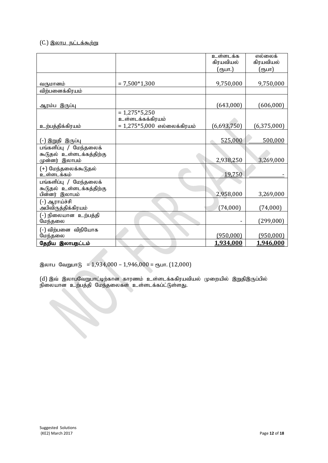#### $(C<sub>1</sub>)$  இலாப நட்டக்கூற்று

|                                            |                               | உள்ளடக்க<br>கிரயவியல் | எல்லைக்<br>கிரயவியல் |
|--------------------------------------------|-------------------------------|-----------------------|----------------------|
|                                            |                               | (ரூபா.)               | (ரூபா)               |
|                                            |                               |                       |                      |
| வருமானம்                                   | $= 7,500*1,300$               | 9,750,000             | 9,750,000            |
| விற்பனைக்கிரயம்                            |                               |                       |                      |
| <u>ஆரம்ப இருப்பு</u>                       |                               | (643,000)             | (606,000)            |
|                                            | $= 1,275*5,250$               |                       |                      |
|                                            | உள்ளடக்கக்கிரயம்              |                       |                      |
| உற்பத்திக்கிரயம்                           | $= 1,275*5,000$ எல்லைக்கிரயம் | (6,693,750)           | (6, 375, 000)        |
|                                            |                               |                       |                      |
| (-) இறுதி இருப்பு                          |                               | 525,000               | 500,000              |
| பங்களிப்பு / மேந்தலைக்                     |                               |                       |                      |
| கூடுதல் உள்ளடக்கத்திற்கு<br>முன்னர் இலாபம் |                               | 2,938,250             | 3,269,000            |
| (+) மேந்தலைக்கூடுதல்                       |                               |                       |                      |
| உள்ளடக்கம்                                 |                               | 19,750                |                      |
| பங்களிப்பு / மேந்தலைக்                     |                               |                       |                      |
| கூடுதல் உள்ளடக்கத்திற்கு<br>பின்னர் இலாபம் |                               | 2,958,000             | 3,269,000            |
|                                            |                               |                       |                      |
| (-) ஆராய்ச்சி<br>அபிவிருத்திக்கிரயம்       |                               | (74,000)              | (74,000)             |
| (-) நிலையான  உற்பத்தி                      |                               |                       |                      |
| மேந்தலை                                    |                               |                       | (299,000)            |
| (-) விற்பனை விநியோக                        |                               |                       |                      |
| மேந்தலை                                    |                               | (950,000)             | (950,000)            |
| தேறிய இலாபநட்டம்                           |                               | 1,934,000             | 1,946,000            |

இலாப வேறுபாடு = 1,934,000 – 1,946,000 = ரூபா. (12,000)

(d) இவ் இலாபவேறுபாட்டிற்கான காரணம் உள்ளடக்ககிரயவியல் முறையில் இறுதிஇருப்பில் நிலையான உற்பத்தி மேந்தலைகள் உள்ளடக்கப்ட்டுள்ளது.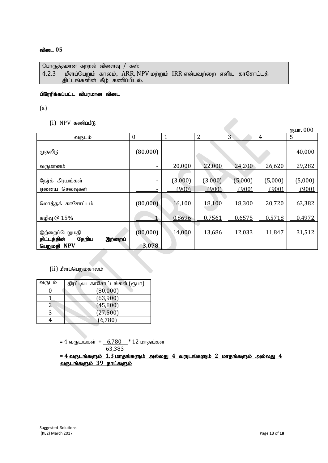```
பொருத்தமான கற்றல் விளைவு / கள்:
4.2.3 மீளப்பெறும் காலம், ARR, NPV மற்றும் IRR என்பவற்றை எளிய காசோட்டத்
      திட்டங்களின் கீழ் கணிப்பிடல்.
```
#### பிரேரிக்கப்பட்ட விபரமான விடை

(a)

 $(i)$   $NPV$  கணிப்பீடு

|                                                |                          |              |                |         |         | ரூபா. 000 |
|------------------------------------------------|--------------------------|--------------|----------------|---------|---------|-----------|
| வருடம்                                         | $\boldsymbol{0}$         | $\mathbf{1}$ | $\overline{2}$ | 3       | 4       | 5         |
|                                                |                          |              |                |         |         |           |
| முதலீடு                                        | (80,000)                 |              |                |         |         | 40,000    |
| வருமானம்                                       | $\overline{\phantom{a}}$ | 20,000       | 22,000         | 24,200  | 26,620  | 29,282    |
|                                                |                          |              |                |         |         |           |
| நேர்க் கிரயங்கள்                               | ٠                        | (3,000)      | (3,000)        | (5,000) | (5,000) | (5,000)   |
| செலவுகள்<br>ஏனைய                               |                          | (900)        | (900)          | (900)   | (900)   | (900)     |
|                                                |                          |              |                |         |         |           |
| மொத்தக்<br>காசோட்டம்                           | (80,000)                 | 16,100       | 18,100         | 18,300  | 20,720  | 63,382    |
| கழிவு @ 15%                                    | 1                        | 0.8696       | 0.7561         | 0.6575  | 0.5718  | 0.4972    |
| இற்றைப்பெறுமதி                                 | (80,000)                 | 14,000       | 13,686         | 12,033  | 11,847  | 31,512    |
| தேறிய<br>திட்டத்தின்<br>இற்றைப்<br>பெறுமதி NPV | 3,078                    |              |                |         |         |           |

## $(i)$  மீளப்பெறும்காலம்

| வருடம் | திரட்டிய காசோட்டங்கள் (ரூபா) |
|--------|------------------------------|
|        | (80,000)                     |
|        | (63,900)                     |
|        | (45,800)                     |
|        | (27,500)                     |
|        | (6,780)                      |

= 4 வருடங்கள் + 6,780  $*$  12 மாதங்கள 63,383

 $= 4$  வருடங்களும்  $1.3$  மாதங்களும் அல்லது  $4$  வருடங்களும்  $2$  மாதங்களும் அல்லது  $4$ வருடங்களும் 39 நாட்களும்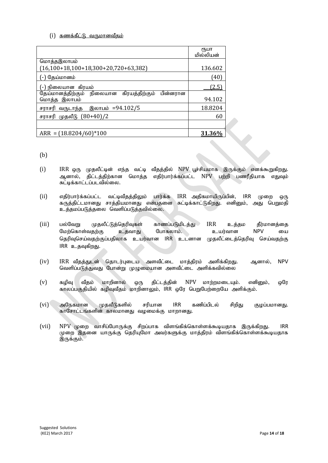#### $(i)$  தணக்கீட்டு வருமானவீகம்

|                                                         | ₹ҦШП<br>மில்லியன் |
|---------------------------------------------------------|-------------------|
| மொத்தஇலாபம்                                             |                   |
| $(16,100+18,100+18,300+20,720+63,382)$                  | 136.602           |
| ) தேய்மானம்                                             | [40]              |
| ்-) நிலையான  கிரயம்                                     | (2.5)             |
| தேய்மானத்திற்கும் நிலையான<br>கிரயத்திற்கும்<br>பின்னரான |                   |
| மொத்த இலாபம்                                            | 94.102            |
| இலாபம் =94.102/5<br>சராசரி வருடாந்த                     | 18.8204           |
| முதலீடு (80+40)/2<br>சராசரி                             | 60                |
|                                                         |                   |
| $ARR = (18.8204/60)*100$                                | 31.36             |

(b)

- $(i)$  IRR ஒரு முதலீட்டின் எந்த வட்டி வீதத்தில்  $NPV$  பூச்சியமாக இருக்கும் எனக்கூறுகிறது. ஆனால், திட்டத்திற்கான மொத்த எதிர்பார்க்கப்பட்ட NPV பற்றி பணரீதியாக எதுவும் சுட்டிக்காட்டப்படவில்லை.
- $(ii)$  எதிர்பார்க்கப்பட்ட வட்டிவீதத்திலும் பார்க்க  $\text{IRR}$  அதிகமாயிருப்பின்,  $\text{IRR}$  முறை ஒரு கருத்திட்டமானது சாத்தியமானது என்பதனை சுட்டிக்காட்டுகிறது. எனினும், அது பெறுமதி உத்தமப்படுத்தலை வெளிப்படுத்தவில்லை.
- (iii) பல்வேறு முதலீட்டுத்தெரிவுகள் காணப்படுமிடத்து IRR உத்தம தீர்மானத்தை மேற்கொள்வதற்கு உதவாது போகலாம். உயர்வான NPV யை தெரிவுசெய்வதற்குப்பதிலாக உயர்வான IRR உடனான முதலீட்டைத்தெரிவு செய்வதற்கு IRR உதவுகிறது.
- (iv) IRR வீதத்துடன் தொடர்புடைய அளவீட்டை மாத்திரம் அளிக்கிறது. ஆனால், NPV வெளிப்படுத்துவது போன்று முழுமையான அளவீட்டை அளிக்கவில்லை
- $(v)$  கழிவு வீதம் மாறினால் ஒரு திட்டத்தின் NPV மாற்றமடையும். எனினும், ஒரே காலப்பகுதியில் கழிவுவீதம் மாறினாலும், IRR ஒரே பெறுபேற்றையே அளிக்கும்.
- $(vi)$  அநேகமான முதலீடுகளில் சரியான IRR கணிப்பிடல் சிறிது குழப்பமானது. காசோட்டங்களின் காலமானது வழமைக்கு மாறானது.
- (vii)  $NPV$  முறை வாசிப்போருக்கு சிறப்பாக விளங்கிக்கொள்ளக்கூடியதாக இருக்கிறது. IRR  $\mu$ றை இதனை யாருக்கு தெரியுமோ அவர்களுக்கு மாத்திரம் விளங்கிக்கொள்ளக்கூடியதாக இருக்கும்.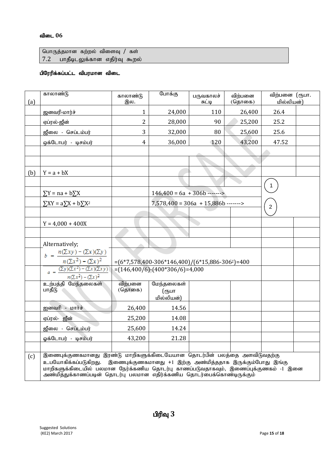பொருத்தமான கற்றல் விளைவு / கள்  $7.2$  பாதீடிடலுக்கான எதிர்வு கூறல்

#### பிரேரிக்கப்பட்ட விபரமான விடை

| (a) | காலாண்டு                                                                                                    | காலாண்டு<br>இல. | போக்கு                                                                               | பருவகாலச்<br>சுட்டி | விற்பனை<br>(தொகை) | விற்பனை (ரூபா.<br>மில்லியன்) |  |
|-----|-------------------------------------------------------------------------------------------------------------|-----------------|--------------------------------------------------------------------------------------|---------------------|-------------------|------------------------------|--|
|     | ஜனவரி-மார்ச்                                                                                                | $\mathbf{1}$    | 24,000                                                                               | 110                 | 26,400            | 26.4                         |  |
|     | ஏப்ரல்-ஜீன்                                                                                                 | 2               | 28,000                                                                               | 90                  | 25,200            | 25.2                         |  |
|     | ஜீலை - செப்டம்பர்                                                                                           | 3               | 32,000                                                                               | 80                  | 25,600            | 25.6                         |  |
|     | ஒக்டோபர் - டிசம்பர்                                                                                         | 4               | 36,000                                                                               | 120                 | 43,200            | 47.52                        |  |
|     |                                                                                                             |                 |                                                                                      |                     |                   |                              |  |
|     |                                                                                                             |                 |                                                                                      |                     |                   |                              |  |
| (b) | $Y = a + bX$                                                                                                |                 |                                                                                      |                     |                   |                              |  |
|     |                                                                                                             |                 |                                                                                      |                     |                   |                              |  |
|     | $\Sigma Y$ = na + b $\Sigma X$                                                                              |                 | $146,400 = 6a + 306b$ ------>                                                        |                     |                   |                              |  |
|     | $\sum XY = a \sum X + b \sum X^2$                                                                           |                 | $7,578,400 = 306a + 15,886b$ ------->                                                |                     |                   | $\overline{2}$               |  |
|     |                                                                                                             |                 |                                                                                      |                     |                   |                              |  |
|     | $Y = 4,000 + 400X$                                                                                          |                 |                                                                                      |                     |                   |                              |  |
|     |                                                                                                             |                 |                                                                                      |                     |                   |                              |  |
|     | Alternatively;                                                                                              |                 |                                                                                      |                     |                   |                              |  |
|     | $b = \frac{n(\sum xy) - (\sum x)(\sum y)}{n}$                                                               |                 |                                                                                      |                     |                   |                              |  |
|     | $n(\Sigma x^2) - (\Sigma x)^2$<br>$(\Sigma y)(\Sigma x^2) - (\Sigma x)(\Sigma xy)$                          |                 | $=(6*7,578,400-306*146,400)/(6*15,886-3062)=400$<br>$=(146,400/6)-(400*306/6)=4,000$ |                     |                   |                              |  |
|     | $n(\Sigma x^2) - (\Sigma x)^2$                                                                              |                 |                                                                                      |                     |                   |                              |  |
|     | உற்பத்தி மேந்தலைகள்                                                                                         | விற்பனை         | மேந்தலைகள்                                                                           |                     |                   |                              |  |
|     | பாதீடு                                                                                                      | (தொகை)          | (ரூபா<br>மில்லியன்)                                                                  |                     |                   |                              |  |
|     | ஐனவரி - மார்ச்                                                                                              | 26,400          | 14.56                                                                                |                     |                   |                              |  |
|     | ஏப்ரல்- ஐீன்                                                                                                | 25,200          | 14.08                                                                                |                     |                   |                              |  |
|     | ஜீலை - செப்டம்பர்                                                                                           | 25,600          | 14.24                                                                                |                     |                   |                              |  |
|     | ஓக்டோபர் - டிசம்பர்                                                                                         | 43,200          | 21.28                                                                                |                     |                   |                              |  |
|     |                                                                                                             |                 |                                                                                      |                     |                   |                              |  |
| (c) | இணைபுக்குணகமானது இரண்டு மாறிகளுக்கிடையேயான தொடர்பின் பலத்தை அளவிடுவதற்கு                                    |                 |                                                                                      |                     |                   |                              |  |
|     | உபயோகிக்கப்படுகிறது.<br>மாறிகளுக்கிடையில் பலமான நேர்க்கணிய தொடர்பு காணப்படுவதாகவும், இணைப்புக்குணகம் -1 இனை |                 | இணைபுக்குணகமானது +1 இற்கு அண்மித்ததாக இருக்கும்போது இங்கு                            |                     |                   |                              |  |
|     | அண்மித்துக்காணப்படின் தொடர்பு பலமான எதிர்க்கணிய தொடர்பைக்கொண்டிருக்கும்                                     |                 |                                                                                      |                     |                   |                              |  |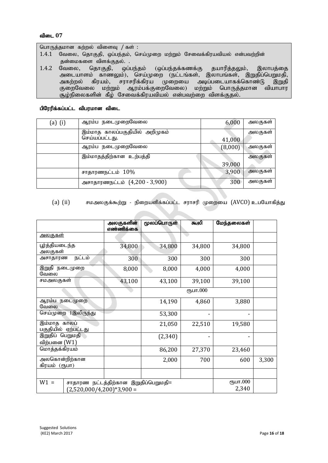பொருத்தமான கற்றல் விளைவு / கள் :

- $1.4.1$  வேலை, தொகுதி, ஒப்பந்தம், செய்முறை மற்றும் சேவைக்கிரயவியல் என்பவற்றின்
- ்தன்மைகளை விளக்குதல். .<br>1.4.2 வேலை, தொகுதி, ஒப் வேலை, தொகுதி, ஒப்பந்தம் (ஒப்பந்தக்கணக்கு தயாரித்தலும், இலாபத்தை அடையாளம் காணலும்), செய்முறை (நட்டங்கள், இலாபங்கள், இறுதிப்பெறுமதி,<br>அகற்றல் கிரயம், சராசரிக்கிரய முறையை அடிப்படையாகக்கொண்டு இறுதி ,<br>ருறையை அடிப்படையாகக்கொண்டு குறைவேலை மற்றும் ஆரம்பக்குறைவேலை) மற்றும் பொருத்தமான வியாபார  $\alpha$  ;  $\alpha$  ;  $\beta$  )  $\alpha$  ;  $\alpha$  ;  $\beta$  ;  $\beta$  ;  $\beta$  ;  $\alpha$  ;  $\beta$  ;  $\alpha$  ;  $\beta$  ;  $\alpha$  ;  $\alpha$  ;  $\beta$  ;  $\alpha$  ;  $\beta$  ;  $\alpha$  ;  $\beta$  ;  $\alpha$  ;  $\beta$  ;  $\alpha$  ;  $\beta$  ;  $\alpha$  ;  $\beta$  ;  $\alpha$  ;  $\beta$  ;  $\alpha$  ;  $\alpha$  ;  $\alpha$  ;  $\alpha$  ;  $\alpha$

#### பிரேரிக்கப்பட்ட விபரமான விடை

| $(a)$ $(i)$ | ஆரம்ப நடைமுறைவேலை              | 6,000   | அலகுகள  |
|-------------|--------------------------------|---------|---------|
|             | இம்மாத காலப்பகுதியில் அறிமுகம் |         | அலகுகள் |
|             | செய்யப்பட்டது.                 | 41,000  |         |
|             | ஆரம்ப நடைமுறைவேலை              | (8,000) | அலகுகள் |
|             | இம்மாதத்திற்கான உற்பத்தி       |         | அலகுகள  |
|             |                                | 39,000  |         |
|             | சாதாரணநட்டம் $10\%$            | 3,900   | அலகுகள் |
|             | அசாதாரணநட்டம் (4,200 - 3,900)  | 300     | அலகுகள் |

(a)  $(i)$  சமஅலகுக்கூற்று - நிறையளிக்கப்பட்ட சராசரி முறையை  $(A{\rm V}{\rm C0})$  உபயோகித்து

|                                       | அலகுகளின்<br>எண்ணிக்கை               | மூலப்பொருள் | கூலி     | மேந்தலைகள்        |       |
|---------------------------------------|--------------------------------------|-------------|----------|-------------------|-------|
| <u>அலகுகள்</u>                        |                                      |             |          |                   |       |
| பூர்த்தியடைந்த<br>அலகுகள்             | 34,800                               | 34,800      | 34,800   | 34,800            |       |
| நட்டம்<br>அசாதாரண                     | 300                                  | 300         | 300      | 300               |       |
| இறுதி நடைமுறை<br>வேலை                 | 8,000                                | 8,000       | 4,000    | 4,000             |       |
| சமஅலகுகள்                             | 43,100                               | 43,100      | 39,100   | 39,100            |       |
|                                       |                                      |             | ரூபா.000 |                   |       |
| ஆரம்ப நடைமுறை<br>வேலை                 |                                      | 14,190      | 4,860    | 3,880             |       |
| செய்முறை 1இலிருந்து                   |                                      | 53,300      |          |                   |       |
| இம்மாத காலப்<br>பகுதியில் ஏற்பட்டது   |                                      | 21,050      | 22,510   | 19,580            |       |
| இறுதிப் பெறுமதி<br>விற்பனை (W1)       |                                      | (2,340)     |          | -                 |       |
| மொத்தக்கிரயம்                         |                                      | 86,200      | 27,370   | 23,460            |       |
| அலகொன்றிற்கான<br>கிரயம் (ரூபா)        |                                      | 2,000       | 700      | 600               | 3,300 |
|                                       |                                      |             |          |                   |       |
| $W1 =$<br>$(2,520,000/4,200)*3,900 =$ | சாதாரண நட்டத்திற்கான இறுதிப்பெறுமதி= |             |          | ரூபா.000<br>2,340 |       |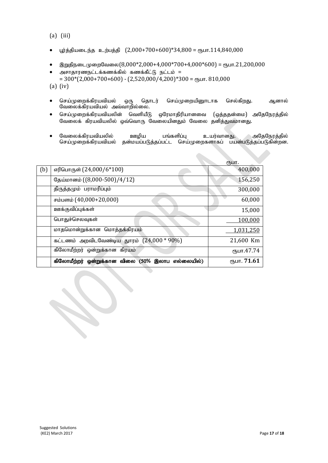(a) (iii)

- பூர்த்தியடைந்த உற்பத்தி  $(2,000+700+600)*34,800 =$ ரூபா. $114,840,000$
- இறுதிநடைமுறைவேலை $(8,000*2,000+4,000*700+4,000*600)$  = ரூபா.21,200,000
- அசாதாரணநட்டக்கணக்கில் கணக்கீட்டு நட்டம் =  $= 300*(2,000+700+600) - (2,520,000/4,200)*300 =$  ( $\text{Fbun} \cdot 810,000$

(a) (iv)

- செய்முறைக்கிரயவியல் ஒரு தொடர் செய்முறையினூடாக செல்கிறது. ஆனால் வேலைக்கிரயவியல் அவ்வாறில்லை.
- $\bullet$  செய்முறைக்கிரயவியலின் வெளியீடு ஒரேமாதிரியானவை (ஒத்ததன்மை) அதேநேரத்தில் வேலைக் கிரயவியலில் ஒவ்வொரு வேலையினதும் வேலை தனித்துவமானது.
- ் வேலைக்கிரயவியலில் ஊழிய பங்களிப்பு உயர்வானது. அதேநேரத்தில்<br>டெய்முறைக்கிரயவியல் தன்மயப்படுத்தப்பட்ட செய்முறைகளாகப் பயன்படுத்தப்படுகின்றன. தன்மயப்படுத்தப்பட்ட செய்முறைகளாகப் பயன்படுத்தப்படுகின்றன.

|     |                                                  | ரூபா.       |
|-----|--------------------------------------------------|-------------|
| (b) | எரிபொருள் (24,000/6*100)                         | 400,000     |
|     | தேய்மானம் ((8,000-500)/4/12)                     | 156,250     |
|     | திருத்தமும் பராமரிப்பும்                         | 300,000     |
|     | சம்பளம் (40,000+20,000)                          | 60,000      |
|     | ஊக்குவிப்புக்கள்                                 | 15,000      |
|     | பொதுச்செலவுகள்                                   | 100,000     |
|     | மாதமொன்றுக்கான மொத்தக்கிரயம்                     | 1,031,250   |
|     | கட்டணம் அறவிடவேண்டிய துாரம் $(24,000 * 90%)$     | 21,600 Km   |
|     | கிலோமீற்றர் ஒன்றுக்கான கிரயம்                    | ரூபா.47.74  |
|     | கிலோமீற்றர் ஒன்றுக்கான விலை (50% இலாப எல்லையில்) | ரூபா. 71.61 |